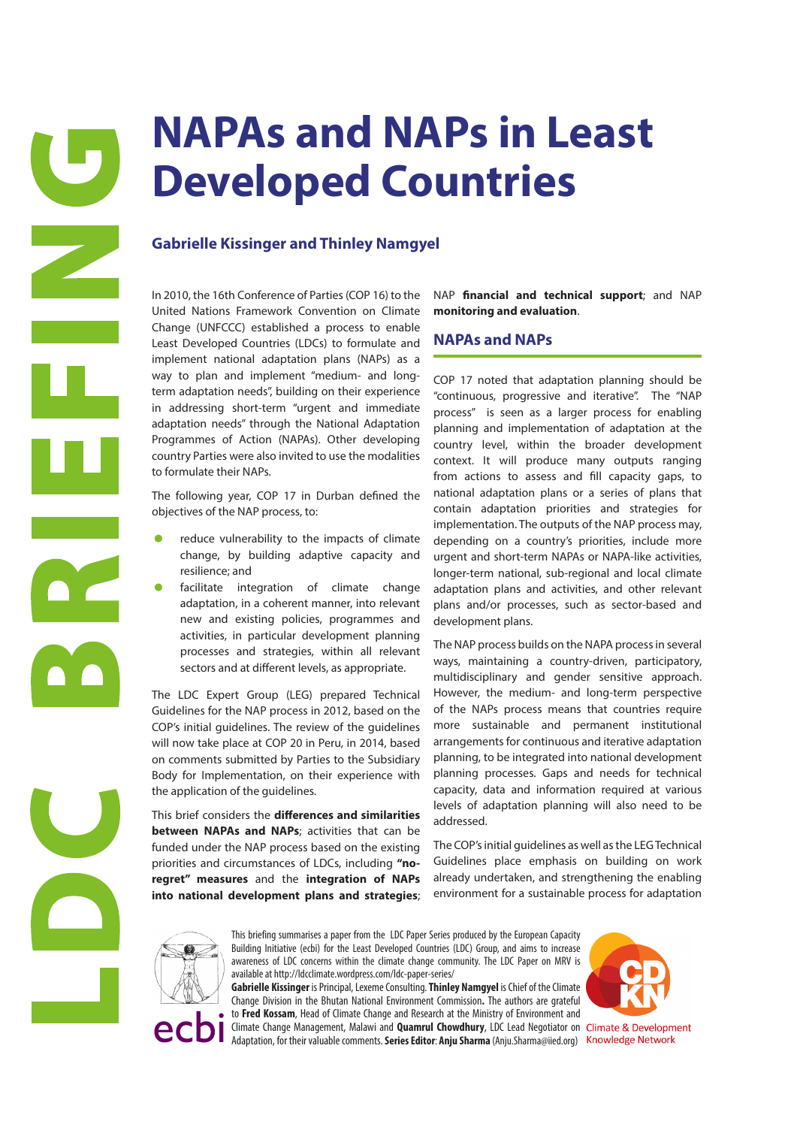# **Developed Countries**

# **Gabrielle Kissinger and Thinley Namgyel**

In 2010, the 16th Conference of Parties (COP 16) to the United Nations Framework Convention on Climate Change (UNFCCC) established a process to enable Least Developed Countries (LDCs) to formulate and implement national adaptation plans (NAPs) as a way to plan and implement "medium- and longterm adaptation needs", building on their experience in addressing short-term "urgent and immediate adaptation needs" through the National Adaptation Programmes of Action (NAPAs). Other developing country Parties were also invited to use the modalities to formulate their NAPs.

The following year, COP 17 in Durban defined the objectives of the NAP process, to:

- reduce vulnerability to the impacts of climate change, by building adaptive capacity and resilience; and
- facilitate integration of climate change adaptation, in a coherent manner, into relevant new and existing policies, programmes and activities, in particular development planning processes and strategies, within all relevant sectors and at different levels, as appropriate.

The LDC Expert Group (LEG) prepared Technical Guidelines for the NAP process in 2012, based on the COP's initial guidelines. The review of the guidelines will now take place at COP 20 in Peru, in 2014, based on comments submitted by Parties to the Subsidiary Body for Implementation, on their experience with the application of the guidelines.

This brief considers the **differences and similarities between NAPAs and NAPs**; activities that can be funded under the NAP process based on the existing priorities and circumstances of LDCs, including **"noregret" measures** and the **integration of NAPs into national development plans and strategies**;

NAP **financial and technical support**; and NAP **monitoring and evaluation**.

### **NAPAs and NAPs**

**INAPAS and NAPs in Least 10.**<br>
Cabrielle Kissinger and Thinley Namysel<br>
Cabrielle Kissinger and Thinley Namysel<br>
Cabrielle Kissinger and Thinley Namysel<br>
Cabrielle Kissinger and Thinley Namysel<br>
Cabrielle Kissinger and Th COP 17 noted that adaptation planning should be "continuous, progressive and iterative". The "NAP process" is seen as a larger process for enabling planning and implementation of adaptation at the country level, within the broader development context. It will produce many outputs ranging from actions to assess and fill capacity gaps, to national adaptation plans or a series of plans that contain adaptation priorities and strategies for implementation. The outputs of the NAP process may, depending on a country's priorities, include more urgent and short-term NAPAs or NAPA-like activities, longer-term national, sub-regional and local climate adaptation plans and activities, and other relevant plans and/or processes, such as sector-based and development plans.

The NAP process builds on the NAPA process in several ways, maintaining a country-driven, participatory, multidisciplinary and gender sensitive approach. However, the medium- and long-term perspective of the NAPs process means that countries require more sustainable and permanent institutional arrangements for continuous and iterative adaptation planning, to be integrated into national development planning processes. Gaps and needs for technical capacity, data and information required at various levels of adaptation planning will also need to be addressed.

The COP's initial guidelines as well as the LEG Technical Guidelines place emphasis on building on work already undertaken, and strengthening the enabling environment for a sustainable process for adaptation



This briefing summarises a paper from the LDC Paper Series produced by the European Capacity Building Initiative (ecbi) for the Least Developed Countries (LDC) Group, and aims to increase awareness of LDC concerns within the climate change community. The LDC Paper on MRV is available at http://ldcclimate.wordpress.com/ldc-paper-series/

**Gabrielle Kissinger** is Principal, Lexeme Consulting. **Thinley Namgyel** is Chief of the Climate Change Division in the Bhutan National Environment Commission**.** The authors are grateful to **Fred Kossam**, Head of Climate Change and Research at the Ministry of Environment and

Climate Change Management, Malawi and **Quamrul Chowdhury**, LDC Lead Negotiator on Climate & Development<br>Adaptation, for their valuable comments. **Series Editor: Anju Sharma** (Anju.Sharma@iied.org) Knowledge Network

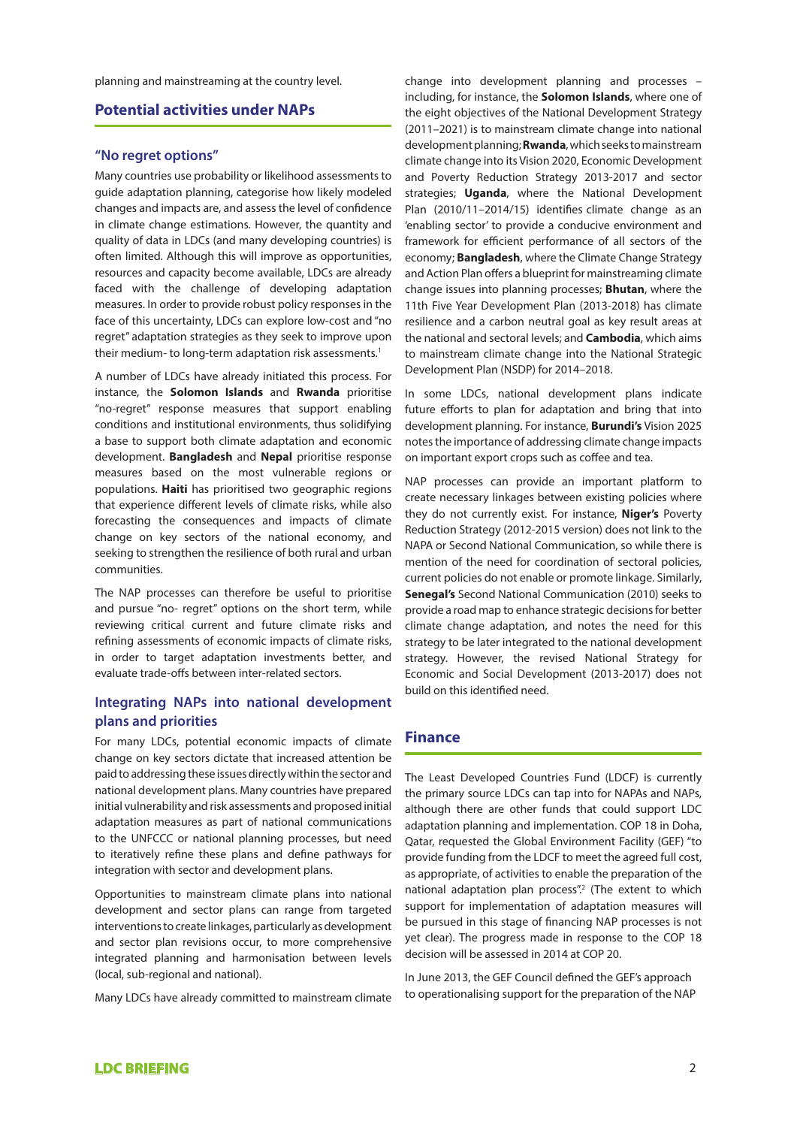planning and mainstreaming at the country level.

# **Potential activities under NAPs**

### **"No regret options"**

Many countries use probability or likelihood assessments to guide adaptation planning, categorise how likely modeled changes and impacts are, and assess the level of confidence in climate change estimations. However, the quantity and quality of data in LDCs (and many developing countries) is often limited. Although this will improve as opportunities, resources and capacity become available, LDCs are already faced with the challenge of developing adaptation measures. In order to provide robust policy responses in the face of this uncertainty, LDCs can explore low-cost and "no regret" adaptation strategies as they seek to improve upon their medium- to long-term adaptation risk assessments.<sup>1</sup>

A number of LDCs have already initiated this process. For instance, the **Solomon Islands** and **Rwanda** prioritise "no-regret" response measures that support enabling conditions and institutional environments, thus solidifying a base to support both climate adaptation and economic development. **Bangladesh** and **Nepal** prioritise response measures based on the most vulnerable regions or populations. **Haiti** has prioritised two geographic regions that experience different levels of climate risks, while also forecasting the consequences and impacts of climate change on key sectors of the national economy, and seeking to strengthen the resilience of both rural and urban communities.

The NAP processes can therefore be useful to prioritise and pursue "no- regret" options on the short term, while reviewing critical current and future climate risks and refining assessments of economic impacts of climate risks, in order to target adaptation investments better, and evaluate trade-offs between inter-related sectors.

## **Integrating NAPs into national development plans and priorities**

For many LDCs, potential economic impacts of climate change on key sectors dictate that increased attention be paid to addressing these issues directly within the sector and national development plans. Many countries have prepared initial vulnerability and risk assessments and proposed initial adaptation measures as part of national communications to the UNFCCC or national planning processes, but need to iteratively refine these plans and define pathways for integration with sector and development plans.

Opportunities to mainstream climate plans into national development and sector plans can range from targeted interventions to create linkages, particularly as development and sector plan revisions occur, to more comprehensive integrated planning and harmonisation between levels (local, sub-regional and national).

Many LDCs have already committed to mainstream climate

change into development planning and processes – including, for instance, the **Solomon Islands**, where one of the eight objectives of the National Development Strategy (2011–2021) is to mainstream climate change into national development planning; **Rwanda**, which seeks to mainstream climate change into its Vision 2020, Economic Development and Poverty Reduction Strategy 2013-2017 and sector strategies; **Uganda**, where the National Development Plan (2010/11–2014/15) identifies climate change as an 'enabling sector' to provide a conducive environment and framework for efficient performance of all sectors of the economy; **Bangladesh**, where the Climate Change Strategy and Action Plan offers a blueprint for mainstreaming climate change issues into planning processes; **Bhutan**, where the 11th Five Year Development Plan (2013-2018) has climate resilience and a carbon neutral goal as key result areas at the national and sectoral levels; and **Cambodia**, which aims to mainstream climate change into the National Strategic Development Plan (NSDP) for 2014–2018.

In some LDCs, national development plans indicate future efforts to plan for adaptation and bring that into development planning. For instance, **Burundi's** Vision 2025 notes the importance of addressing climate change impacts on important export crops such as coffee and tea.

NAP processes can provide an important platform to create necessary linkages between existing policies where they do not currently exist. For instance, **Niger's** Poverty Reduction Strategy (2012-2015 version) does not link to the NAPA or Second National Communication, so while there is mention of the need for coordination of sectoral policies, current policies do not enable or promote linkage. Similarly, **Senegal's** Second National Communication (2010) seeks to provide a road map to enhance strategic decisions for better climate change adaptation, and notes the need for this strategy to be later integrated to the national development strategy. However, the revised National Strategy for Economic and Social Development (2013-2017) does not build on this identified need.

### **Finance**

The Least Developed Countries Fund (LDCF) is currently the primary source LDCs can tap into for NAPAs and NAPs, although there are other funds that could support LDC adaptation planning and implementation. COP 18 in Doha, Qatar, requested the Global Environment Facility (GEF) "to provide funding from the LDCF to meet the agreed full cost, as appropriate, of activities to enable the preparation of the national adaptation plan process".<sup>2</sup> (The extent to which support for implementation of adaptation measures will be pursued in this stage of financing NAP processes is not yet clear). The progress made in response to the COP 18 decision will be assessed in 2014 at COP 20.

In June 2013, the GEF Council defined the GEF's approach to operationalising support for the preparation of the NAP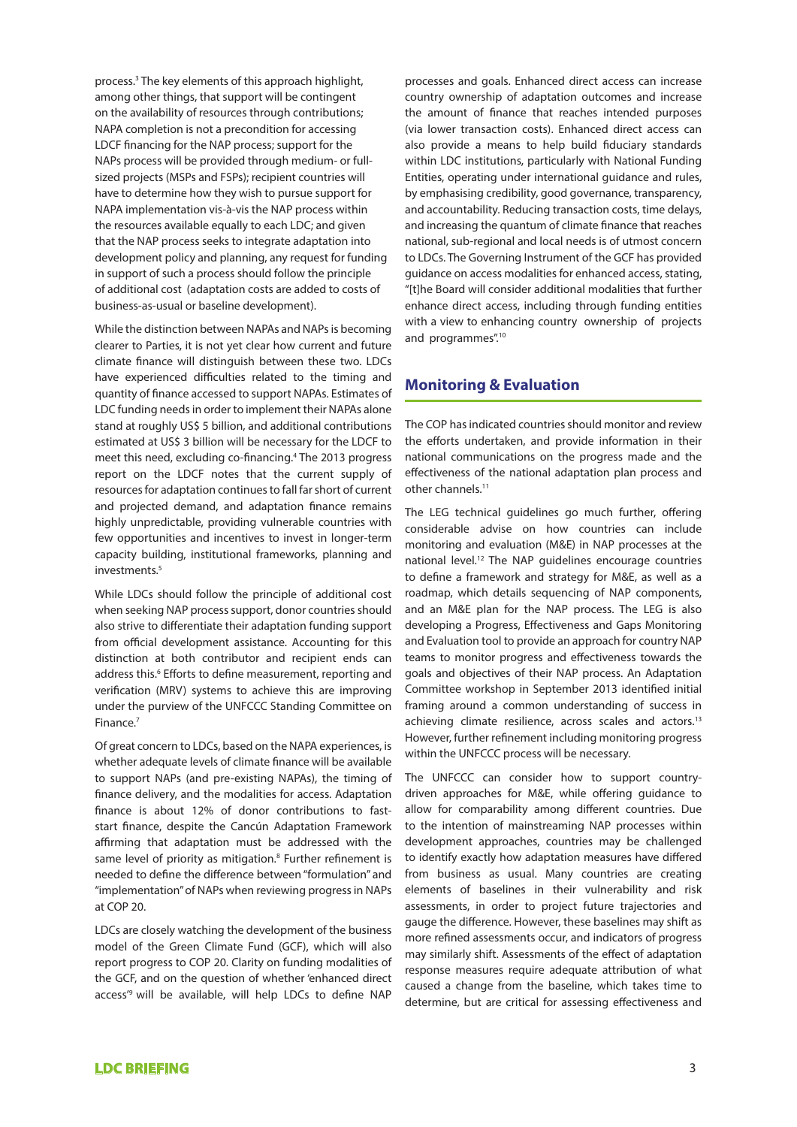process.3 The key elements of this approach highlight, among other things, that support will be contingent on the availability of resources through contributions; NAPA completion is not a precondition for accessing LDCF financing for the NAP process; support for the NAPs process will be provided through medium- or fullsized projects (MSPs and FSPs); recipient countries will have to determine how they wish to pursue support for NAPA implementation vis-à-vis the NAP process within the resources available equally to each LDC; and given that the NAP process seeks to integrate adaptation into development policy and planning, any request for funding in support of such a process should follow the principle of additional cost (adaptation costs are added to costs of business-as-usual or baseline development).

While the distinction between NAPAs and NAPs is becoming clearer to Parties, it is not yet clear how current and future climate finance will distinguish between these two. LDCs have experienced difficulties related to the timing and quantity of finance accessed to support NAPAs. Estimates of LDC funding needs in order to implement their NAPAs alone stand at roughly US\$ 5 billion, and additional contributions estimated at US\$ 3 billion will be necessary for the LDCF to meet this need, excluding co-financing.<sup>4</sup> The 2013 progress report on the LDCF notes that the current supply of resources for adaptation continues to fall far short of current and projected demand, and adaptation finance remains highly unpredictable, providing vulnerable countries with few opportunities and incentives to invest in longer-term capacity building, institutional frameworks, planning and investments.<sup>5</sup>

While LDCs should follow the principle of additional cost when seeking NAP process support, donor countries should also strive to differentiate their adaptation funding support from official development assistance. Accounting for this distinction at both contributor and recipient ends can address this.<sup>6</sup> Efforts to define measurement, reporting and verification (MRV) systems to achieve this are improving under the purview of the UNFCCC Standing Committee on Finance.7

Of great concern to LDCs, based on the NAPA experiences, is whether adequate levels of climate finance will be available to support NAPs (and pre-existing NAPAs), the timing of finance delivery, and the modalities for access. Adaptation finance is about 12% of donor contributions to faststart finance, despite the Cancún Adaptation Framework affirming that adaptation must be addressed with the same level of priority as mitigation.<sup>8</sup> Further refinement is needed to define the difference between "formulation" and "implementation" of NAPs when reviewing progress in NAPs at COP 20.

LDCs are closely watching the development of the business model of the Green Climate Fund (GCF), which will also report progress to COP 20. Clarity on funding modalities of the GCF, and on the question of whether 'enhanced direct access'9 will be available, will help LDCs to define NAP processes and goals. Enhanced direct access can increase country ownership of adaptation outcomes and increase the amount of finance that reaches intended purposes (via lower transaction costs). Enhanced direct access can also provide a means to help build fiduciary standards within LDC institutions, particularly with National Funding Entities, operating under international guidance and rules, by emphasising credibility, good governance, transparency, and accountability. Reducing transaction costs, time delays, and increasing the quantum of climate finance that reaches national, sub-regional and local needs is of utmost concern to LDCs. The Governing Instrument of the GCF has provided guidance on access modalities for enhanced access, stating, "[t]he Board will consider additional modalities that further enhance direct access, including through funding entities with a view to enhancing country ownership of projects and programmes".<sup>10</sup>

# **Monitoring & Evaluation**

The COP has indicated countries should monitor and review the efforts undertaken, and provide information in their national communications on the progress made and the effectiveness of the national adaptation plan process and other channels.<sup>11</sup>

The LEG technical guidelines go much further, offering considerable advise on how countries can include monitoring and evaluation (M&E) in NAP processes at the national level.12 The NAP guidelines encourage countries to define a framework and strategy for M&E, as well as a roadmap, which details sequencing of NAP components, and an M&E plan for the NAP process. The LEG is also developing a Progress, Effectiveness and Gaps Monitoring and Evaluation tool to provide an approach for country NAP teams to monitor progress and effectiveness towards the goals and objectives of their NAP process. An Adaptation Committee workshop in September 2013 identified initial framing around a common understanding of success in achieving climate resilience, across scales and actors.13 However, further refinement including monitoring progress within the UNFCCC process will be necessary.

The UNFCCC can consider how to support countrydriven approaches for M&E, while offering guidance to allow for comparability among different countries. Due to the intention of mainstreaming NAP processes within development approaches, countries may be challenged to identify exactly how adaptation measures have differed from business as usual. Many countries are creating elements of baselines in their vulnerability and risk assessments, in order to project future trajectories and gauge the difference. However, these baselines may shift as more refined assessments occur, and indicators of progress may similarly shift. Assessments of the effect of adaptation response measures require adequate attribution of what caused a change from the baseline, which takes time to determine, but are critical for assessing effectiveness and